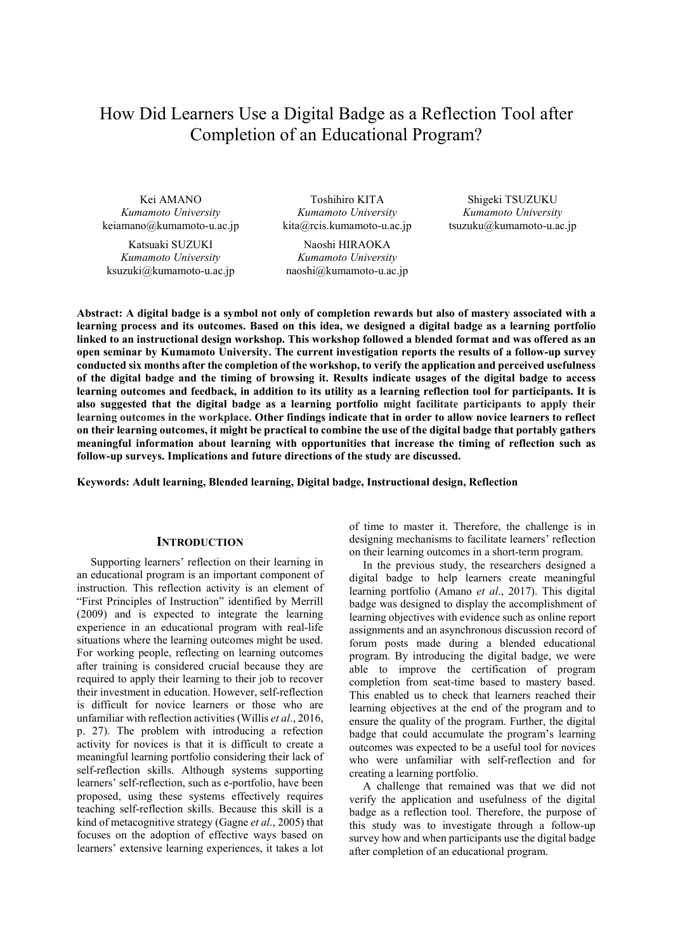# How Did Learners Use a Digital Badge as a Reflection Tool after Completion of an Educational Program?

Kei AMANO *Kumamoto University*  keiamano@kumamoto-u.ac.jp

Katsuaki SUZUKI *Kumamoto University*  ksuzuki@kumamoto-u.ac.jp

Toshihiro KITA *Kumamoto University* kita@rcis.kumamoto-u.ac.jp

Naoshi HIRAOKA *Kumamoto University*  naoshi@kumamoto-u.ac.jp

Shigeki TSUZUKU *Kumamoto University* tsuzuku@kumamoto-u.ac.jp

**Abstract: A digital badge is a symbol not only of completion rewards but also of mastery associated with a learning process and its outcomes. Based on this idea, we designed a digital badge as a learning portfolio linked to an instructional design workshop. This workshop followed a blended format and was offered as an open seminar by Kumamoto University. The current investigation reports the results of a follow-up survey conducted six months after the completion of the workshop, to verify the application and perceived usefulness of the digital badge and the timing of browsing it. Results indicate usages of the digital badge to access learning outcomes and feedback, in addition to its utility as a learning reflection tool for participants. It is also suggested that the digital badge as a learning portfolio might facilitate participants to apply their learning outcomes in the workplace. Other findings indicate that in order to allow novice learners to reflect on their learning outcomes, it might be practical to combine the use of the digital badge that portably gathers meaningful information about learning with opportunities that increase the timing of reflection such as follow-up surveys. Implications and future directions of the study are discussed.** 

**Keywords: Adult learning, Blended learning, Digital badge, Instructional design, Reflection** 

#### **INTRODUCTION**

Supporting learners' reflection on their learning in an educational program is an important component of instruction. This reflection activity is an element of "First Principles of Instruction" identified by Merrill (2009) and is expected to integrate the learning experience in an educational program with real-life situations where the learning outcomes might be used. For working people, reflecting on learning outcomes after training is considered crucial because they are required to apply their learning to their job to recover their investment in education. However, self-reflection is difficult for novice learners or those who are unfamiliar with reflection activities (Willis *et al*., 2016, p. 27). The problem with introducing a refection activity for novices is that it is difficult to create a meaningful learning portfolio considering their lack of self-reflection skills. Although systems supporting learners' self-reflection, such as e-portfolio, have been proposed, using these systems effectively requires teaching self-reflection skills. Because this skill is a kind of metacognitive strategy (Gagne *et al*., 2005) that focuses on the adoption of effective ways based on learners' extensive learning experiences, it takes a lot of time to master it. Therefore, the challenge is in designing mechanisms to facilitate learners' reflection on their learning outcomes in a short-term program.

In the previous study, the researchers designed a digital badge to help learners create meaningful learning portfolio (Amano *et al*., 2017). This digital badge was designed to display the accomplishment of learning objectives with evidence such as online report assignments and an asynchronous discussion record of forum posts made during a blended educational program. By introducing the digital badge, we were able to improve the certification of program completion from seat-time based to mastery based. This enabled us to check that learners reached their learning objectives at the end of the program and to ensure the quality of the program. Further, the digital badge that could accumulate the program's learning outcomes was expected to be a useful tool for novices who were unfamiliar with self-reflection and for creating a learning portfolio.

A challenge that remained was that we did not verify the application and usefulness of the digital badge as a reflection tool. Therefore, the purpose of this study was to investigate through a follow-up survey how and when participants use the digital badge after completion of an educational program.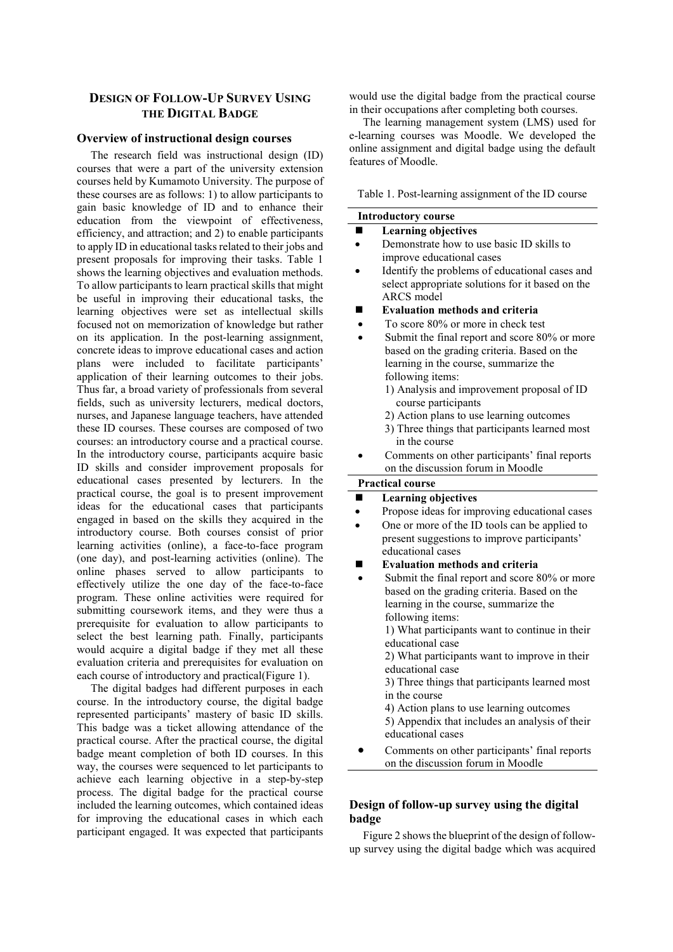# **DESIGN OF FOLLOW-UP SURVEY USING THE DIGITAL BADGE**

#### **Overview of instructional design courses**

The research field was instructional design (ID) courses that were a part of the university extension courses held by Kumamoto University. The purpose of these courses are as follows: 1) to allow participants to gain basic knowledge of ID and to enhance their education from the viewpoint of effectiveness, efficiency, and attraction; and 2) to enable participants to apply ID in educational tasks related to their jobs and present proposals for improving their tasks. Table 1 shows the learning objectives and evaluation methods. To allow participants to learn practical skills that might be useful in improving their educational tasks, the learning objectives were set as intellectual skills focused not on memorization of knowledge but rather on its application. In the post-learning assignment, concrete ideas to improve educational cases and action plans were included to facilitate participants' application of their learning outcomes to their jobs. Thus far, a broad variety of professionals from several fields, such as university lecturers, medical doctors, nurses, and Japanese language teachers, have attended these ID courses. These courses are composed of two courses: an introductory course and a practical course. In the introductory course, participants acquire basic ID skills and consider improvement proposals for educational cases presented by lecturers. In the practical course, the goal is to present improvement ideas for the educational cases that participants engaged in based on the skills they acquired in the introductory course. Both courses consist of prior learning activities (online), a face-to-face program (one day), and post-learning activities (online). The online phases served to allow participants to effectively utilize the one day of the face-to-face program. These online activities were required for submitting coursework items, and they were thus a prerequisite for evaluation to allow participants to select the best learning path. Finally, participants would acquire a digital badge if they met all these evaluation criteria and prerequisites for evaluation on each course of introductory and practical(Figure 1).

The digital badges had different purposes in each course. In the introductory course, the digital badge represented participants' mastery of basic ID skills. This badge was a ticket allowing attendance of the practical course. After the practical course, the digital badge meant completion of both ID courses. In this way, the courses were sequenced to let participants to achieve each learning objective in a step-by-step process. The digital badge for the practical course included the learning outcomes, which contained ideas for improving the educational cases in which each participant engaged. It was expected that participants

would use the digital badge from the practical course in their occupations after completing both courses.

The learning management system (LMS) used for e-learning courses was Moodle. We developed the online assignment and digital badge using the default features of Moodle.

Table 1. Post-learning assignment of the ID course

| <b>Introductory course</b> |                                                                     |  |
|----------------------------|---------------------------------------------------------------------|--|
|                            | <b>Learning objectives</b>                                          |  |
|                            | Demonstrate how to use basic ID skills to                           |  |
|                            | improve educational cases                                           |  |
|                            | Identify the problems of educational cases and                      |  |
|                            | select appropriate solutions for it based on the                    |  |
|                            | <b>ARCS</b> model                                                   |  |
|                            | <b>Evaluation methods and criteria</b>                              |  |
|                            | To score 80% or more in check test                                  |  |
|                            | Submit the final report and score 80% or more                       |  |
|                            | based on the grading criteria. Based on the                         |  |
|                            | learning in the course, summarize the                               |  |
|                            | following items:                                                    |  |
|                            | 1) Analysis and improvement proposal of ID                          |  |
|                            | course participants                                                 |  |
|                            | 2) Action plans to use learning outcomes                            |  |
|                            | 3) Three things that participants learned most                      |  |
|                            | in the course                                                       |  |
|                            | Comments on other participants' final reports                       |  |
|                            | on the discussion forum in Moodle                                   |  |
|                            | <b>Practical course</b>                                             |  |
|                            | <b>Learning objectives</b>                                          |  |
|                            | Propose ideas for improving educational cases                       |  |
|                            | One or more of the ID tools can be applied to                       |  |
|                            | present suggestions to improve participants'                        |  |
|                            | educational cases                                                   |  |
|                            | <b>Evaluation methods and criteria</b>                              |  |
|                            | Submit the final report and score 80% or more                       |  |
|                            | based on the grading criteria. Based on the                         |  |
|                            | learning in the course, summarize the                               |  |
|                            | following items:                                                    |  |
|                            | 1) What participants want to continue in their                      |  |
|                            | educational case                                                    |  |
|                            | 2) What participants want to improve in their                       |  |
|                            | educational case                                                    |  |
|                            | 3) Three things that participants learned most                      |  |
|                            | in the course                                                       |  |
|                            | 4) Action plans to use learning outcomes                            |  |
|                            | 5) Appendix that includes an analysis of their<br>educational cases |  |
|                            |                                                                     |  |
|                            | Comments on other participants' final reports                       |  |
|                            | on the discussion forum in Moodle                                   |  |

# **Design of follow-up survey using the digital badge**

Figure 2 shows the blueprint of the design of followup survey using the digital badge which was acquired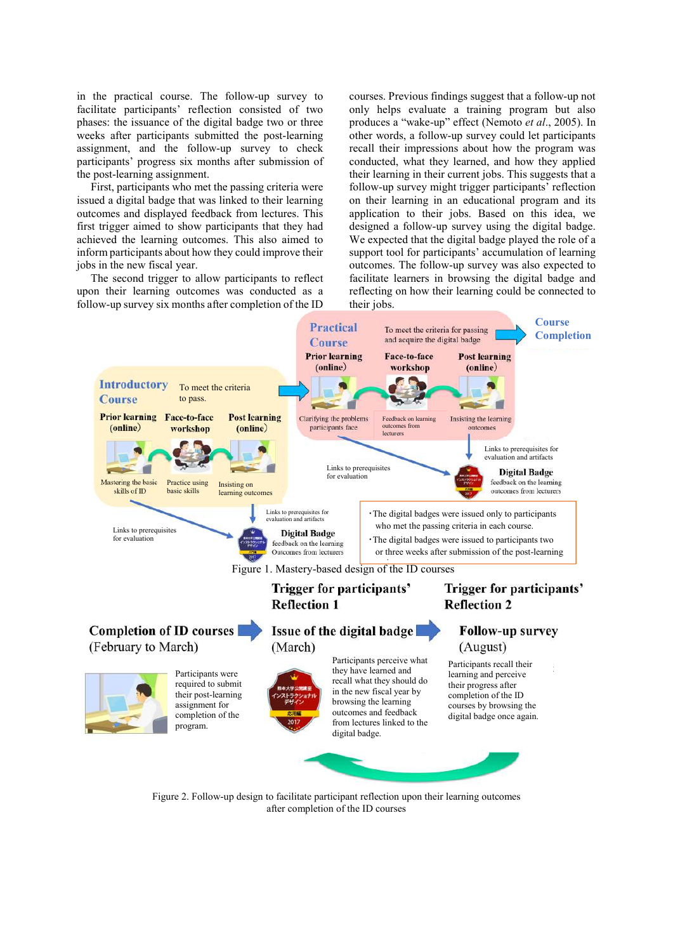in the practical course. The follow-up survey to facilitate participants' reflection consisted of two phases: the issuance of the digital badge two or three weeks after participants submitted the post-learning assignment, and the follow-up survey to check participants' progress six months after submission of the post-learning assignment.

First, participants who met the passing criteria were issued a digital badge that was linked to their learning outcomes and displayed feedback from lectures. This first trigger aimed to show participants that they had achieved the learning outcomes. This also aimed to inform participants about how they could improve their jobs in the new fiscal year.

The second trigger to allow participants to reflect upon their learning outcomes was conducted as a follow-up survey six months after completion of the ID

courses. Previous findings suggest that a follow-up not only helps evaluate a training program but also produces a "wake-up" effect (Nemoto *et al*., 2005). In other words, a follow-up survey could let participants recall their impressions about how the program was conducted, what they learned, and how they applied their learning in their current jobs. This suggests that a follow-up survey might trigger participants' reflection on their learning in an educational program and its application to their jobs. Based on this idea, we designed a follow-up survey using the digital badge. We expected that the digital badge played the role of a support tool for participants' accumulation of learning outcomes. The follow-up survey was also expected to facilitate learners in browsing the digital badge and reflecting on how their learning could be connected to their jobs.



Figure 2. Follow-up design to facilitate participant reflection upon their learning outcomes after completion of the ID courses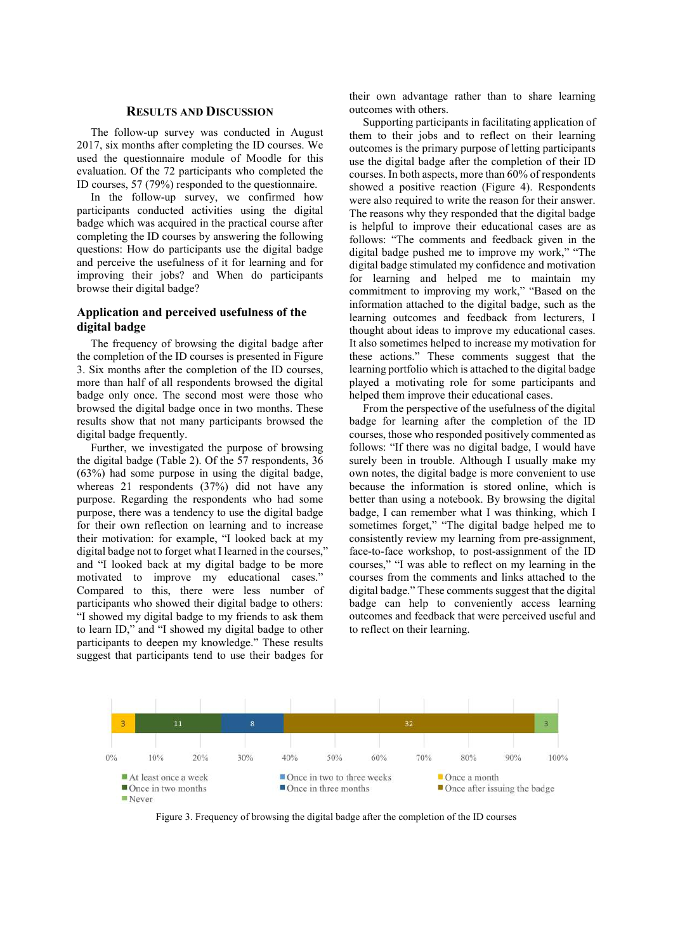#### **RESULTS AND DISCUSSION**

The follow-up survey was conducted in August 2017, six months after completing the ID courses. We used the questionnaire module of Moodle for this evaluation. Of the 72 participants who completed the ID courses, 57 (79%) responded to the questionnaire.

In the follow-up survey, we confirmed how participants conducted activities using the digital badge which was acquired in the practical course after completing the ID courses by answering the following questions: How do participants use the digital badge and perceive the usefulness of it for learning and for improving their jobs? and When do participants browse their digital badge?

## **Application and perceived usefulness of the digital badge**

The frequency of browsing the digital badge after the completion of the ID courses is presented in Figure 3. Six months after the completion of the ID courses, more than half of all respondents browsed the digital badge only once. The second most were those who browsed the digital badge once in two months. These results show that not many participants browsed the digital badge frequently.

Further, we investigated the purpose of browsing the digital badge (Table 2). Of the 57 respondents, 36 (63%) had some purpose in using the digital badge, whereas 21 respondents (37%) did not have any purpose. Regarding the respondents who had some purpose, there was a tendency to use the digital badge for their own reflection on learning and to increase their motivation: for example, "I looked back at my digital badge not to forget what I learned in the courses,' and "I looked back at my digital badge to be more motivated to improve my educational cases." Compared to this, there were less number of participants who showed their digital badge to others: "I showed my digital badge to my friends to ask them to learn ID," and "I showed my digital badge to other participants to deepen my knowledge." These results suggest that participants tend to use their badges for

their own advantage rather than to share learning outcomes with others.

Supporting participants in facilitating application of them to their jobs and to reflect on their learning outcomes is the primary purpose of letting participants use the digital badge after the completion of their ID courses. In both aspects, more than 60% of respondents showed a positive reaction (Figure 4). Respondents were also required to write the reason for their answer. The reasons why they responded that the digital badge is helpful to improve their educational cases are as follows: "The comments and feedback given in the digital badge pushed me to improve my work," "The digital badge stimulated my confidence and motivation for learning and helped me to maintain my commitment to improving my work," "Based on the information attached to the digital badge, such as the learning outcomes and feedback from lecturers, I thought about ideas to improve my educational cases. It also sometimes helped to increase my motivation for these actions." These comments suggest that the learning portfolio which is attached to the digital badge played a motivating role for some participants and helped them improve their educational cases.

From the perspective of the usefulness of the digital badge for learning after the completion of the ID courses, those who responded positively commented as follows: "If there was no digital badge, I would have surely been in trouble. Although I usually make my own notes, the digital badge is more convenient to use because the information is stored online, which is better than using a notebook. By browsing the digital badge, I can remember what I was thinking, which I sometimes forget," "The digital badge helped me to consistently review my learning from pre-assignment, face-to-face workshop, to post-assignment of the ID courses," "I was able to reflect on my learning in the courses from the comments and links attached to the digital badge." These comments suggest that the digital badge can help to conveniently access learning outcomes and feedback that were perceived useful and to reflect on their learning.



Figure 3. Frequency of browsing the digital badge after the completion of the ID courses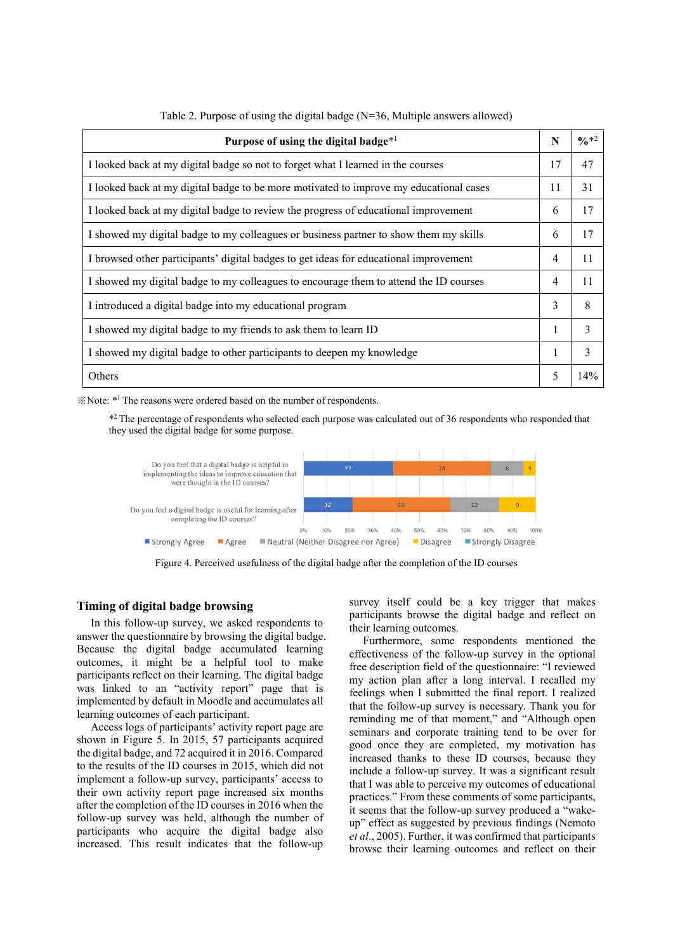| Purpose of using the digital badge $*1$                                                | N | $\frac{6}{10}$ *2 |
|----------------------------------------------------------------------------------------|---|-------------------|
| I looked back at my digital badge so not to forget what I learned in the courses       |   | 47                |
| I looked back at my digital badge to be more motivated to improve my educational cases |   | 31                |
| I looked back at my digital badge to review the progress of educational improvement    |   | 17                |
| I showed my digital badge to my colleagues or business partner to show them my skills  |   | 17                |
| I browsed other participants' digital badges to get ideas for educational improvement  |   | 11                |
| I showed my digital badge to my colleagues to encourage them to attend the ID courses  |   | 11                |
| I introduced a digital badge into my educational program                               |   | 8                 |
| I showed my digital badge to my friends to ask them to learn ID                        |   | 3                 |
| I showed my digital badge to other participants to deepen my knowledge                 |   | 3                 |
| Others                                                                                 |   | 14%               |

Table 2. Purpose of using the digital badge (N=36, Multiple answers allowed)

※Note: \*<sup>1</sup>The reasons were ordered based on the number of respondents.

\* <sup>2</sup>The percentage of respondents who selected each purpose was calculated out of 36 respondents who responded that they used the digital badge for some purpose.



Figure 4. Perceived usefulness of the digital badge after the completion of the ID courses

## **Timing of digital badge browsing**

In this follow-up survey, we asked respondents to answer the questionnaire by browsing the digital badge. Because the digital badge accumulated learning outcomes, it might be a helpful tool to make participants reflect on their learning. The digital badge was linked to an "activity report" page that is implemented by default in Moodle and accumulates all learning outcomes of each participant.

Access logs of participants' activity report page are shown in Figure 5. In 2015, 57 participants acquired the digital badge, and 72 acquired it in 2016. Compared to the results of the ID courses in 2015, which did not implement a follow-up survey, participants' access to their own activity report page increased six months after the completion of the ID courses in 2016 when the follow-up survey was held, although the number of participants who acquire the digital badge also increased. This result indicates that the follow-up

survey itself could be a key trigger that makes participants browse the digital badge and reflect on their learning outcomes.

Furthermore, some respondents mentioned the effectiveness of the follow-up survey in the optional free description field of the questionnaire: "I reviewed my action plan after a long interval. I recalled my feelings when I submitted the final report. I realized that the follow-up survey is necessary. Thank you for reminding me of that moment," and "Although open seminars and corporate training tend to be over for good once they are completed, my motivation has increased thanks to these ID courses, because they include a follow-up survey. It was a significant result that I was able to perceive my outcomes of educational practices." From these comments of some participants, it seems that the follow-up survey produced a "wakeup" effect as suggested by previous findings (Nemoto *et al*., 2005). Further, it was confirmed that participants browse their learning outcomes and reflect on their